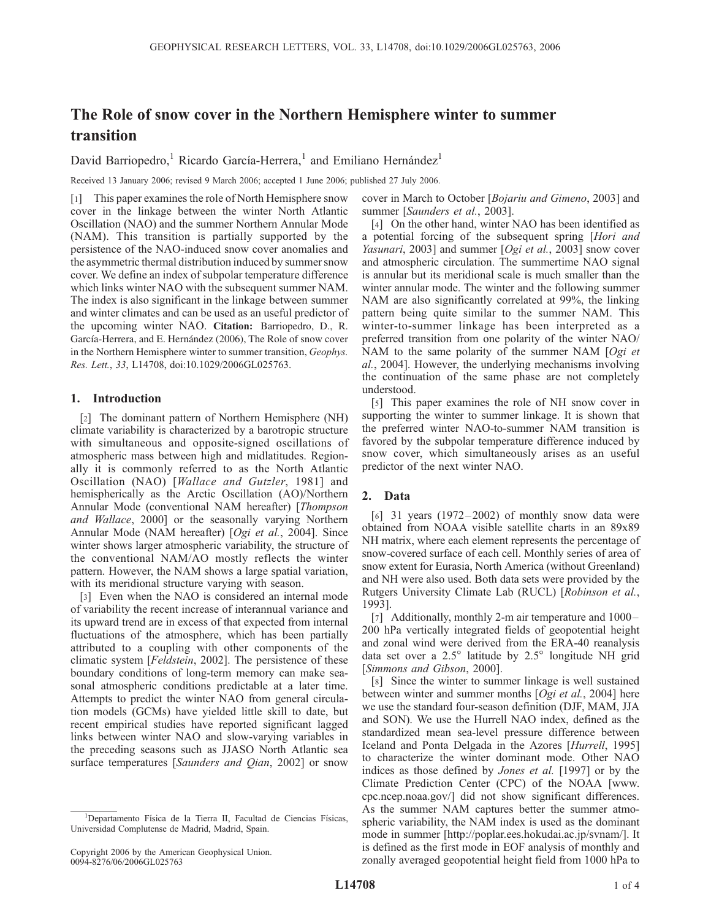# The Role of snow cover in the Northern Hemisphere winter to summer transition

David Barriopedro,<sup>1</sup> Ricardo García-Herrera,<sup>1</sup> and Emiliano Hernández<sup>1</sup>

Received 13 January 2006; revised 9 March 2006; accepted 1 June 2006; published 27 July 2006.

[1] This paper examines the role of North Hemisphere snow cover in the linkage between the winter North Atlantic Oscillation (NAO) and the summer Northern Annular Mode (NAM). This transition is partially supported by the persistence of the NAO-induced snow cover anomalies and the asymmetric thermal distribution induced by summer snow cover. We define an index of subpolar temperature difference which links winter NAO with the subsequent summer NAM. The index is also significant in the linkage between summer and winter climates and can be used as an useful predictor of the upcoming winter NAO. Citation: Barriopedro, D., R. García-Herrera, and E. Hernández (2006), The Role of snow cover in the Northern Hemisphere winter to summer transition, Geophys. Res. Lett., 33, L14708, doi:10.1029/2006GL025763.

## 1. Introduction

[2] The dominant pattern of Northern Hemisphere (NH) climate variability is characterized by a barotropic structure with simultaneous and opposite-signed oscillations of atmospheric mass between high and midlatitudes. Regionally it is commonly referred to as the North Atlantic Oscillation (NAO) [Wallace and Gutzler, 1981] and hemispherically as the Arctic Oscillation (AO)/Northern Annular Mode (conventional NAM hereafter) [Thompson and Wallace, 2000] or the seasonally varying Northern Annular Mode (NAM hereafter) [Ogi et al., 2004]. Since winter shows larger atmospheric variability, the structure of the conventional NAM/AO mostly reflects the winter pattern. However, the NAM shows a large spatial variation, with its meridional structure varying with season.

[3] Even when the NAO is considered an internal mode of variability the recent increase of interannual variance and its upward trend are in excess of that expected from internal fluctuations of the atmosphere, which has been partially attributed to a coupling with other components of the climatic system [Feldstein, 2002]. The persistence of these boundary conditions of long-term memory can make seasonal atmospheric conditions predictable at a later time. Attempts to predict the winter NAO from general circulation models (GCMs) have yielded little skill to date, but recent empirical studies have reported significant lagged links between winter NAO and slow-varying variables in the preceding seasons such as JJASO North Atlantic sea surface temperatures [Saunders and Qian, 2002] or snow

cover in March to October [Bojariu and Gimeno, 2003] and summer [Saunders et al., 2003].

[4] On the other hand, winter NAO has been identified as a potential forcing of the subsequent spring [Hori and Yasunari, 2003] and summer [Ogi et al., 2003] snow cover and atmospheric circulation. The summertime NAO signal is annular but its meridional scale is much smaller than the winter annular mode. The winter and the following summer NAM are also significantly correlated at 99%, the linking pattern being quite similar to the summer NAM. This winter-to-summer linkage has been interpreted as a preferred transition from one polarity of the winter NAO/ NAM to the same polarity of the summer NAM [Ogi et al., 2004]. However, the underlying mechanisms involving the continuation of the same phase are not completely understood.

[5] This paper examines the role of NH snow cover in supporting the winter to summer linkage. It is shown that the preferred winter NAO-to-summer NAM transition is favored by the subpolar temperature difference induced by snow cover, which simultaneously arises as an useful predictor of the next winter NAO.

# 2. Data

 $[6]$  31 years (1972-2002) of monthly snow data were obtained from NOAA visible satellite charts in an 89x89 NH matrix, where each element represents the percentage of snow-covered surface of each cell. Monthly series of area of snow extent for Eurasia, North America (without Greenland) and NH were also used. Both data sets were provided by the Rutgers University Climate Lab (RUCL) [Robinson et al., 1993].

[7] Additionally, monthly 2-m air temperature and  $1000-$ 200 hPa vertically integrated fields of geopotential height and zonal wind were derived from the ERA-40 reanalysis data set over a  $2.5^{\circ}$  latitude by  $2.5^{\circ}$  longitude NH grid [Simmons and Gibson, 2000].

[8] Since the winter to summer linkage is well sustained between winter and summer months [Ogi et al., 2004] here we use the standard four-season definition (DJF, MAM, JJA and SON). We use the Hurrell NAO index, defined as the standardized mean sea-level pressure difference between Iceland and Ponta Delgada in the Azores [Hurrell, 1995] to characterize the winter dominant mode. Other NAO indices as those defined by Jones et al. [1997] or by the Climate Prediction Center (CPC) of the NOAA [www. cpc.ncep.noaa.gov/] did not show significant differences. As the summer NAM captures better the summer atmospheric variability, the NAM index is used as the dominant mode in summer [http://poplar.ees.hokudai.ac.jp/svnam/]. It is defined as the first mode in EOF analysis of monthly and zonally averaged geopotential height field from 1000 hPa to

<sup>&</sup>lt;sup>1</sup>Departamento Física de la Tierra II, Facultad de Ciencias Físicas, Universidad Complutense de Madrid, Madrid, Spain.

Copyright 2006 by the American Geophysical Union. 0094-8276/06/2006GL025763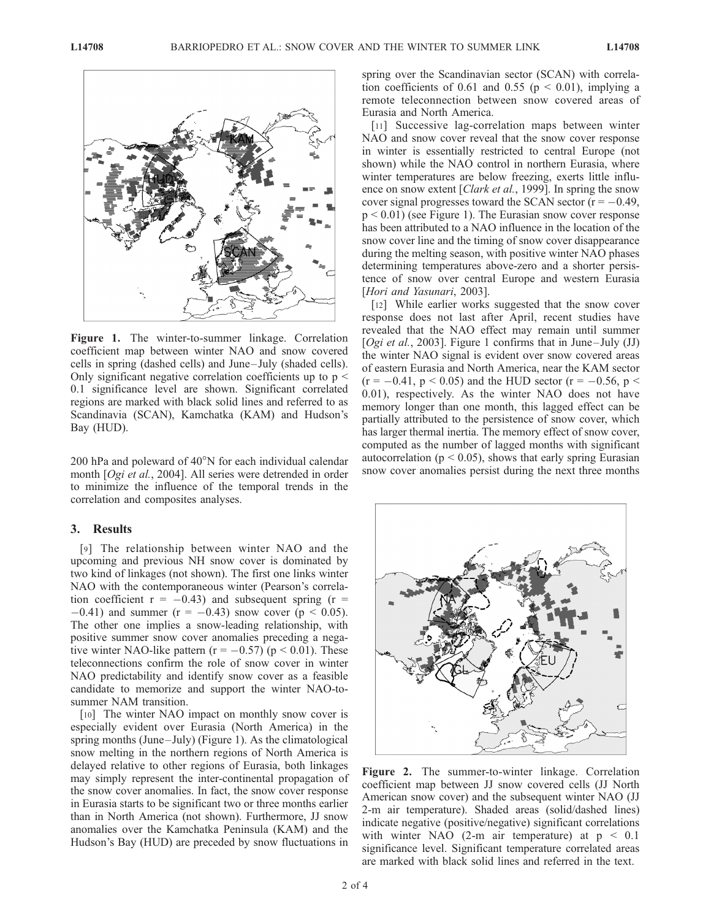

Figure 1. The winter-to-summer linkage. Correlation coefficient map between winter NAO and snow covered cells in spring (dashed cells) and June– July (shaded cells). Only significant negative correlation coefficients up to  $p \leq$ 0.1 significance level are shown. Significant correlated regions are marked with black solid lines and referred to as Scandinavia (SCAN), Kamchatka (KAM) and Hudson's Bay (HUD).

200 hPa and poleward of  $40^{\circ}$ N for each individual calendar month [Ogi et al., 2004]. All series were detrended in order to minimize the influence of the temporal trends in the correlation and composites analyses.

### 3. Results

[9] The relationship between winter NAO and the upcoming and previous NH snow cover is dominated by two kind of linkages (not shown). The first one links winter NAO with the contemporaneous winter (Pearson's correlation coefficient  $r = -0.43$ ) and subsequent spring ( $r =$  $-0.41$ ) and summer (r = -0.43) snow cover (p < 0.05). The other one implies a snow-leading relationship, with positive summer snow cover anomalies preceding a negative winter NAO-like pattern ( $r = -0.57$ ) ( $p < 0.01$ ). These teleconnections confirm the role of snow cover in winter NAO predictability and identify snow cover as a feasible candidate to memorize and support the winter NAO-tosummer NAM transition.

[10] The winter NAO impact on monthly snow cover is especially evident over Eurasia (North America) in the spring months (June–July) (Figure 1). As the climatological snow melting in the northern regions of North America is delayed relative to other regions of Eurasia, both linkages may simply represent the inter-continental propagation of the snow cover anomalies. In fact, the snow cover response in Eurasia starts to be significant two or three months earlier than in North America (not shown). Furthermore, JJ snow anomalies over the Kamchatka Peninsula (KAM) and the Hudson's Bay (HUD) are preceded by snow fluctuations in

spring over the Scandinavian sector (SCAN) with correlation coefficients of 0.61 and 0.55 ( $p \le 0.01$ ), implying a remote teleconnection between snow covered areas of Eurasia and North America.

[11] Successive lag-correlation maps between winter NAO and snow cover reveal that the snow cover response in winter is essentially restricted to central Europe (not shown) while the NAO control in northern Eurasia, where winter temperatures are below freezing, exerts little influence on snow extent [*Clark et al.*, 1999]. In spring the snow cover signal progresses toward the SCAN sector ( $r = -0.49$ ,  $p < 0.01$ ) (see Figure 1). The Eurasian snow cover response has been attributed to a NAO influence in the location of the snow cover line and the timing of snow cover disappearance during the melting season, with positive winter NAO phases determining temperatures above-zero and a shorter persistence of snow over central Europe and western Eurasia [Hori and Yasunari, 2003].

[12] While earlier works suggested that the snow cover response does not last after April, recent studies have revealed that the NAO effect may remain until summer [Ogi et al., 2003]. Figure 1 confirms that in June–July (JJ) the winter NAO signal is evident over snow covered areas of eastern Eurasia and North America, near the KAM sector  $(r = -0.41, p < 0.05)$  and the HUD sector  $(r = -0.56, p <$ 0.01), respectively. As the winter NAO does not have memory longer than one month, this lagged effect can be partially attributed to the persistence of snow cover, which has larger thermal inertia. The memory effect of snow cover, computed as the number of lagged months with significant autocorrelation ( $p < 0.05$ ), shows that early spring Eurasian snow cover anomalies persist during the next three months



Figure 2. The summer-to-winter linkage. Correlation coefficient map between JJ snow covered cells (JJ North American snow cover) and the subsequent winter NAO (JJ 2-m air temperature). Shaded areas (solid/dashed lines) indicate negative (positive/negative) significant correlations with winter NAO (2-m air temperature) at  $p < 0.1$ significance level. Significant temperature correlated areas are marked with black solid lines and referred in the text.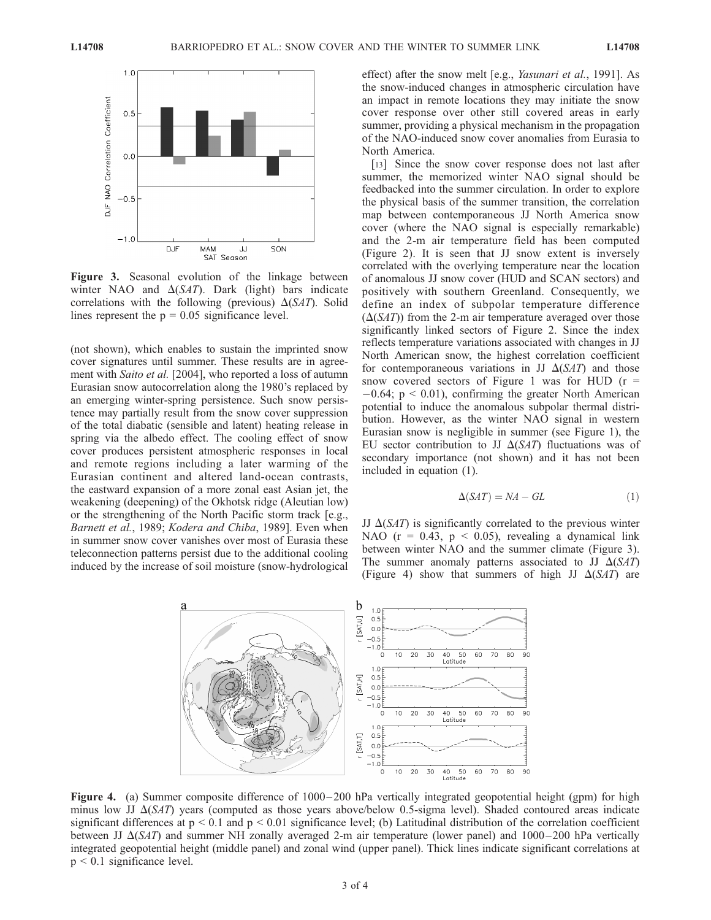

Figure 3. Seasonal evolution of the linkage between winter NAO and  $\Delta(SAT)$ . Dark (light) bars indicate correlations with the following (previous)  $\Delta(SAT)$ . Solid lines represent the  $p = 0.05$  significance level.

(not shown), which enables to sustain the imprinted snow cover signatures until summer. These results are in agreement with *Saito et al.* [2004], who reported a loss of autumn Eurasian snow autocorrelation along the 1980's replaced by an emerging winter-spring persistence. Such snow persistence may partially result from the snow cover suppression of the total diabatic (sensible and latent) heating release in spring via the albedo effect. The cooling effect of snow cover produces persistent atmospheric responses in local and remote regions including a later warming of the Eurasian continent and altered land-ocean contrasts, the eastward expansion of a more zonal east Asian jet, the weakening (deepening) of the Okhotsk ridge (Aleutian low) or the strengthening of the North Pacific storm track [e.g., Barnett et al., 1989; Kodera and Chiba, 1989]. Even when in summer snow cover vanishes over most of Eurasia these teleconnection patterns persist due to the additional cooling induced by the increase of soil moisture (snow-hydrological

effect) after the snow melt [e.g., Yasunari et al., 1991]. As the snow-induced changes in atmospheric circulation have an impact in remote locations they may initiate the snow cover response over other still covered areas in early summer, providing a physical mechanism in the propagation of the NAO-induced snow cover anomalies from Eurasia to North America.

[13] Since the snow cover response does not last after summer, the memorized winter NAO signal should be feedbacked into the summer circulation. In order to explore the physical basis of the summer transition, the correlation map between contemporaneous JJ North America snow cover (where the NAO signal is especially remarkable) and the 2-m air temperature field has been computed (Figure 2). It is seen that JJ snow extent is inversely correlated with the overlying temperature near the location of anomalous JJ snow cover (HUD and SCAN sectors) and positively with southern Greenland. Consequently, we define an index of subpolar temperature difference  $(\Delta(SAT))$  from the 2-m air temperature averaged over those significantly linked sectors of Figure 2. Since the index reflects temperature variations associated with changes in JJ North American snow, the highest correlation coefficient for contemporaneous variations in JJ  $\Delta(SAT)$  and those snow covered sectors of Figure 1 was for HUD ( $r =$  $-0.64$ ;  $p < 0.01$ ), confirming the greater North American potential to induce the anomalous subpolar thermal distribution. However, as the winter NAO signal in western Eurasian snow is negligible in summer (see Figure 1), the EU sector contribution to JJ  $\Delta(SAT)$  fluctuations was of secondary importance (not shown) and it has not been included in equation (1).

$$
\Delta(SAT) = NA - GL \tag{1}
$$

JJ  $\Delta(SAT)$  is significantly correlated to the previous winter NAO ( $r = 0.43$ ,  $p \le 0.05$ ), revealing a dynamical link between winter NAO and the summer climate (Figure 3). The summer anomaly patterns associated to JJ  $\Delta(SAT)$ (Figure 4) show that summers of high JJ  $\Delta(SAT)$  are



Figure 4. (a) Summer composite difference of  $1000-200$  hPa vertically integrated geopotential height (gpm) for high minus low JJ  $\Delta(SAT)$  years (computed as those years above/below 0.5-sigma level). Shaded contoured areas indicate significant differences at  $p < 0.1$  and  $p < 0.01$  significance level; (b) Latitudinal distribution of the correlation coefficient between JJ  $\Delta(SAT)$  and summer NH zonally averaged 2-m air temperature (lower panel) and 1000–200 hPa vertically integrated geopotential height (middle panel) and zonal wind (upper panel). Thick lines indicate significant correlations at  $p \leq 0.1$  significance level.